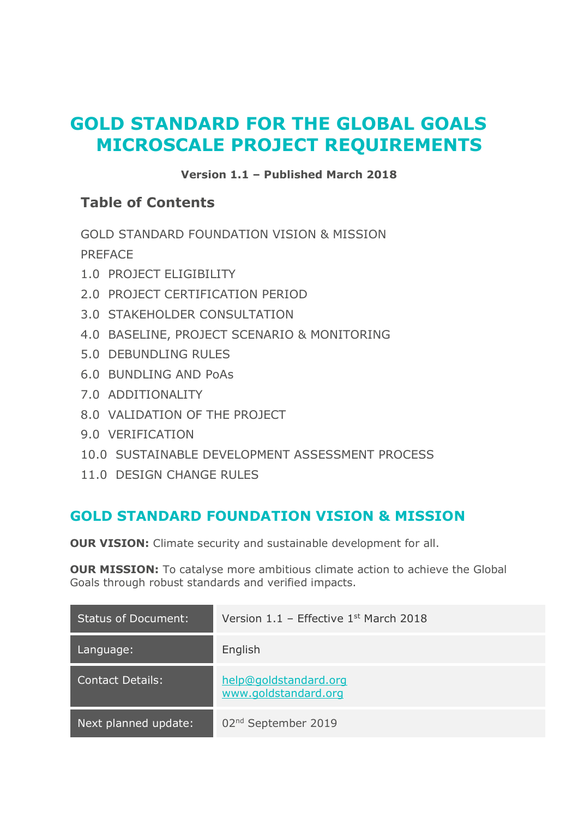# **GOLD STANDARD FOR THE GLOBAL GOALS MICROSCALE PROJECT REQUIREMENTS**

#### **Version 1.1 – Published March 2018**

#### **Table of Contents**

[GOLD STANDARD FOUNDATION VISION & MISSION](#page-0-0) PREFACE

- 1.0 [PROJECT ELIGIBILITY](#page-1-0)
- 2.0 [PROJECT CERTIFICATION PERIOD](#page-1-1)
- 3.0 [STAKEHOLDER CONSULTATION](#page-1-2)
- [4.0 BASELINE, PROJECT SCENARIO & MONITORING](#page-2-0)
- 5.0 [DEBUNDLING RULES](#page-2-1)
- [6.0 BUNDLING AND PoAs](#page-2-2)
- 7.0 [ADDITIONALITY](#page-2-3)
- 8.0 [VALIDATION OF THE PROJECT](#page-2-4)
- 9.0 [VERIFICATION](#page-3-0)
- 10.0 [SUSTAINABLE DEVELOPMENT ASSESSMENT PROCESS](#page-4-0)
- 11.0 [DESIGN CHANGE RULES](#page-6-0)

# <span id="page-0-0"></span>**GOLD STANDARD FOUNDATION VISION & MISSION**

**OUR VISION:** Climate security and sustainable development for all.

**OUR MISSION:** To catalyse more ambitious climate action to achieve the Global Goals through robust standards and verified impacts.

| <b>Status of Document:</b> | Version $1.1$ – Effective $1st$ March 2018    |
|----------------------------|-----------------------------------------------|
| Language:                  | English                                       |
| <b>Contact Details:</b>    | help@goldstandard.org<br>www.goldstandard.org |
| Next planned update:       | 02 <sup>nd</sup> September 2019               |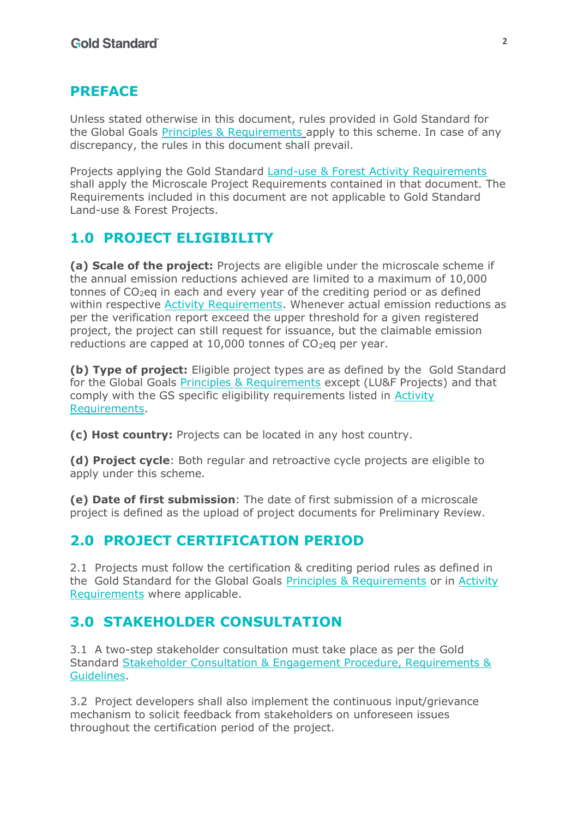#### **PREFACE**

Unless stated otherwise in this document, rules provided in Gold Standard for the Global Goals **Principles & Requirements apply to this scheme. In case of any** discrepancy, the rules in this document shall prevail.

Projects applying the Gold Standard Land-use & Forest Activity Requirements shall apply the Microscale Project Requirements contained in that document. The Requirements included in this document are not applicable to Gold Standard Land-use & Forest Projects.

### <span id="page-1-0"></span>**1.0 PROJECT ELIGIBILITY**

**(a) Scale of the project:** Projects are eligible under the microscale scheme if the annual emission reductions achieved are limited to a maximum of 10,000 tonnes of  $CO<sub>2</sub>$ eq in each and every year of the crediting period or as defined within respective Activity Requirements. Whenever actual emission reductions as per the verification report exceed the upper threshold for a given registered project, the project can still request for issuance, but the claimable emission reductions are capped at 10,000 tonnes of  $CO<sub>2</sub>$ eg per year.

**(b) Type of project:** Eligible project types are as defined by the Gold Standard for the Global Goals Principles & Requirements except (LU&F Projects) and that comply with the GS specific eligibility requirements listed in Activity Requirements.

**(c) Host country:** Projects can be located in any host country.

**(d) Project cycle**: Both regular and retroactive cycle projects are eligible to apply under this scheme*.* 

**(e) Date of first submission**: The date of first submission of a microscale project is defined as the upload of project documents for Preliminary Review.

#### <span id="page-1-1"></span>**2.0 PROJECT CERTIFICATION PERIOD**

2.1 Projects must follow the certification & crediting period rules as defined in the Gold Standard for the Global Goals Principles & Requirements or in Activity Requirements where applicable.

### <span id="page-1-2"></span>**3.0 STAKEHOLDER CONSULTATION**

3.1 A two-step stakeholder consultation must take place as per the Gold Standard Stakeholder Consultation & Engagement Procedure, Requirements & Guidelines.

3.2 Project developers shall also implement the continuous input/grievance mechanism to solicit feedback from stakeholders on unforeseen issues throughout the certification period of the project.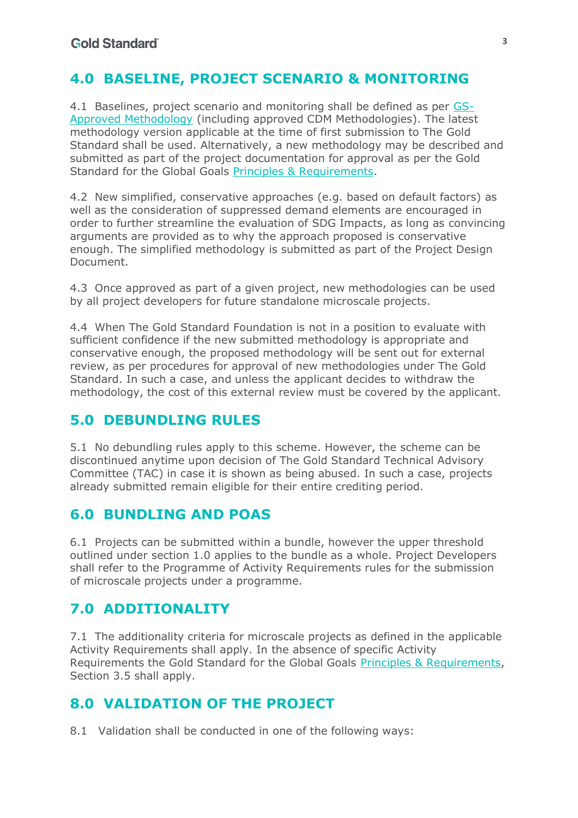### <span id="page-2-0"></span>**4.0 BASELINE, PROJECT SCENARIO & MONITORING**

4.1 Baselines, project scenario and monitoring shall be defined as per GS-Approved Methodology (including approved CDM Methodologies). The latest methodology version applicable at the time of first submission to The Gold Standard shall be used. Alternatively, a new methodology may be described and submitted as part of the project documentation for approval as per the Gold Standard for the Global Goals Principles & Requirements.

4.2 New simplified, conservative approaches (e.g. based on default factors) as well as the consideration of suppressed demand elements are encouraged in order to further streamline the evaluation of SDG Impacts, as long as convincing arguments are provided as to why the approach proposed is conservative enough. The simplified methodology is submitted as part of the Project Design Document.

4.3 Once approved as part of a given project, new methodologies can be used by all project developers for future standalone microscale projects.

4.4 When The Gold Standard Foundation is not in a position to evaluate with sufficient confidence if the new submitted methodology is appropriate and conservative enough, the proposed methodology will be sent out for external review, as per procedures for approval of new methodologies under The Gold Standard. In such a case, and unless the applicant decides to withdraw the methodology, the cost of this external review must be covered by the applicant.

### <span id="page-2-1"></span>**5.0 DEBUNDLING RULES**

5.1 No debundling rules apply to this scheme. However, the scheme can be discontinued anytime upon decision of The Gold Standard Technical Advisory Committee (TAC) in case it is shown as being abused. In such a case, projects already submitted remain eligible for their entire crediting period.

### <span id="page-2-2"></span>**6.0 BUNDLING AND POAS**

6.1 Projects can be submitted within a bundle, however the upper threshold outlined under section 1.0 applies to the bundle as a whole. Project Developers shall refer to the Programme of Activity Requirements rules for the submission of microscale projects under a programme.

# <span id="page-2-3"></span>**7.0 ADDITIONALITY**

7.1 The additionality criteria for microscale projects as defined in the applicable Activity Requirements shall apply. In the absence of specific Activity Requirements the Gold Standard for the Global Goals Principles & Requirements, Section 3.5 shall apply.

# <span id="page-2-4"></span>**8.0 VALIDATION OF THE PROJECT**

8.1 Validation shall be conducted in one of the following ways: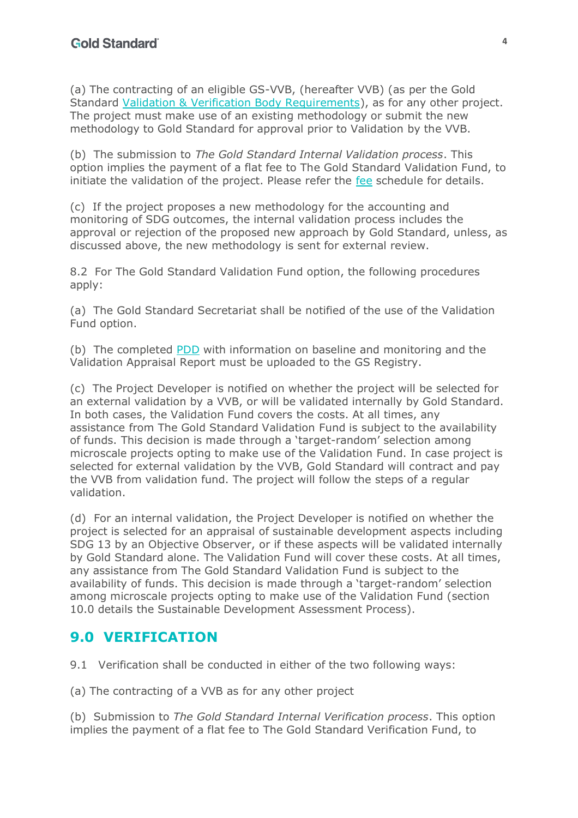(a) The contracting of an eligible GS-VVB, (hereafter VVB) (as per the Gold Standard Validation & Verification Body Requirements), as for any other project. The project must make use of an existing methodology or submit the new methodology to Gold Standard for approval prior to Validation by the VVB.

(b) The submission to *The Gold Standard Internal Validation process*. This option implies the payment of a flat fee to The Gold Standard Validation Fund, to initiate the validation of the project. Please refer the fee schedule for details.

(c) If the project proposes a new methodology for the accounting and monitoring of SDG outcomes, the internal validation process includes the approval or rejection of the proposed new approach by Gold Standard, unless, as discussed above, the new methodology is sent for external review.

8.2 For The Gold Standard Validation Fund option, the following procedures apply:

(a) The Gold Standard Secretariat shall be notified of the use of the Validation Fund option.

(b) The completed PDD with information on baseline and monitoring and the Validation Appraisal Report must be uploaded to the GS Registry.

(c) The Project Developer is notified on whether the project will be selected for an external validation by a VVB, or will be validated internally by Gold Standard. In both cases, the Validation Fund covers the costs. At all times, any assistance from The Gold Standard Validation Fund is subject to the availability of funds. This decision is made through a 'target-random' selection among microscale projects opting to make use of the Validation Fund. In case project is selected for external validation by the VVB, Gold Standard will contract and pay the VVB from validation fund. The project will follow the steps of a regular validation.

(d) For an internal validation, the Project Developer is notified on whether the project is selected for an appraisal of sustainable development aspects including SDG 13 by an Objective Observer, or if these aspects will be validated internally by Gold Standard alone. The Validation Fund will cover these costs. At all times, any assistance from The Gold Standard Validation Fund is subject to the availability of funds. This decision is made through a 'target-random' selection among microscale projects opting to make use of the Validation Fund (section 10.0 details the Sustainable Development Assessment Process).

### <span id="page-3-0"></span>**9.0 VERIFICATION**

9.1 Verification shall be conducted in either of the two following ways:

(a) The contracting of a VVB as for any other project

(b) Submission to *The Gold Standard Internal Verification process*. This option implies the payment of a flat fee to The Gold Standard Verification Fund, to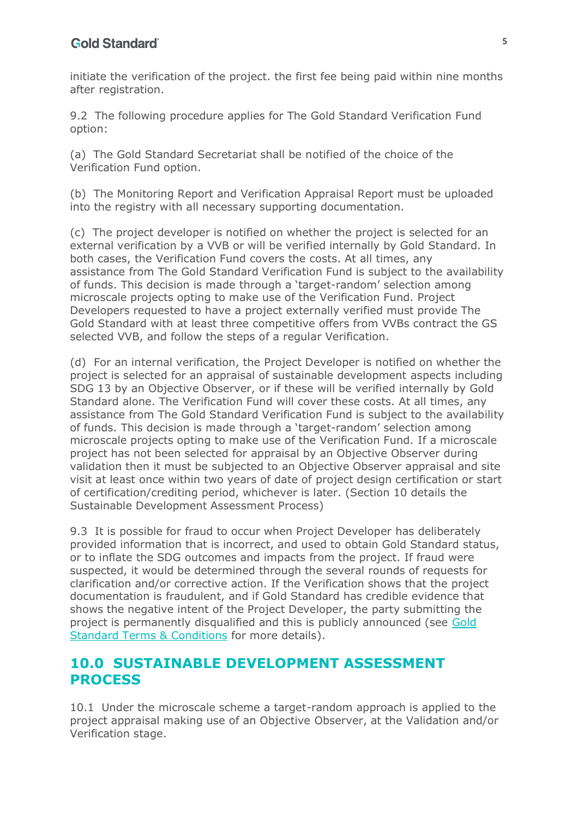initiate the verification of the project. the first fee being paid within nine months after registration.

9.2 The following procedure applies for The Gold Standard Verification Fund option:

(a) The Gold Standard Secretariat shall be notified of the choice of the Verification Fund option.

(b) The Monitoring Report and Verification Appraisal Report must be uploaded into the registry with all necessary supporting documentation.

(c) The project developer is notified on whether the project is selected for an external verification by a VVB or will be verified internally by Gold Standard. In both cases, the Verification Fund covers the costs. At all times, any assistance from The Gold Standard Verification Fund is subject to the availability of funds. This decision is made through a 'target-random' selection among microscale projects opting to make use of the Verification Fund. Project Developers requested to have a project externally verified must provide The Gold Standard with at least three competitive offers from VVBs contract the GS selected VVB, and follow the steps of a regular Verification.

(d) For an internal verification, the Project Developer is notified on whether the project is selected for an appraisal of sustainable development aspects including SDG 13 by an Objective Observer, or if these will be verified internally by Gold Standard alone. The Verification Fund will cover these costs. At all times, any assistance from The Gold Standard Verification Fund is subject to the availability of funds. This decision is made through a 'target-random' selection among microscale projects opting to make use of the Verification Fund. If a microscale project has not been selected for appraisal by an Objective Observer during validation then it must be subjected to an Objective Observer appraisal and site visit at least once within two years of date of project design certification or start of certification/crediting period, whichever is later. (Section 10 details the Sustainable Development Assessment Process)

9.3 It is possible for fraud to occur when Project Developer has deliberately provided information that is incorrect, and used to obtain Gold Standard status, or to inflate the SDG outcomes and impacts from the project. If fraud were suspected, it would be determined through the several rounds of requests for clarification and/or corrective action. If the Verification shows that the project documentation is fraudulent, and if Gold Standard has credible evidence that shows the negative intent of the Project Developer, the party submitting the project is permanently disqualified and this is publicly announced (see Gold Standard Terms & Conditions for more details).

#### <span id="page-4-0"></span>**10.0 SUSTAINABLE DEVELOPMENT ASSESSMENT PROCESS**

10.1 Under the microscale scheme a target-random approach is applied to the project appraisal making use of an Objective Observer, at the Validation and/or Verification stage.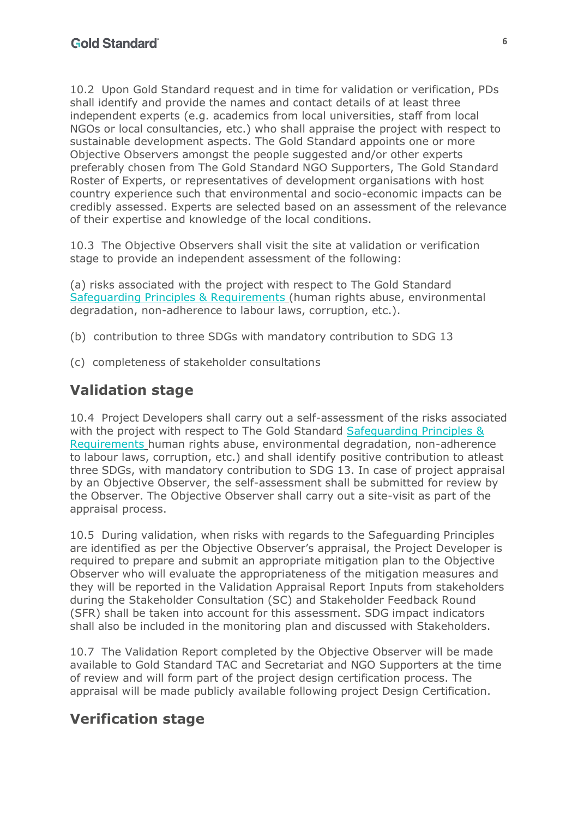10.2 Upon Gold Standard request and in time for validation or verification, PDs shall identify and provide the names and contact details of at least three independent experts (e.g. academics from local universities, staff from local NGOs or local consultancies, etc.) who shall appraise the project with respect to sustainable development aspects. The Gold Standard appoints one or more Objective Observers amongst the people suggested and/or other experts preferably chosen from The Gold Standard NGO Supporters, The Gold Standard Roster of Experts, or representatives of development organisations with host country experience such that environmental and socio-economic impacts can be credibly assessed. Experts are selected based on an assessment of the relevance of their expertise and knowledge of the local conditions.

10.3 The Objective Observers shall visit the site at validation or verification stage to provide an independent assessment of the following:

(a) risks associated with the project with respect to The Gold Standard Safeguarding Principles & Requirements (human rights abuse, environmental degradation, non-adherence to labour laws, corruption, etc.).

- (b) contribution to three SDGs with mandatory contribution to SDG 13
- (c) completeness of stakeholder consultations

#### **Validation stage**

10.4 Project Developers shall carry out a self-assessment of the risks associated with the project with respect to The Gold Standard Safeguarding Principles & Requirements human rights abuse, environmental degradation, non-adherence to labour laws, corruption, etc.) and shall identify positive contribution to atleast three SDGs, with mandatory contribution to SDG 13. In case of project appraisal by an Objective Observer, the self-assessment shall be submitted for review by the Observer. The Objective Observer shall carry out a site-visit as part of the appraisal process.

10.5 During validation, when risks with regards to the Safeguarding Principles are identified as per the Objective Observer's appraisal, the Project Developer is required to prepare and submit an appropriate mitigation plan to the Objective Observer who will evaluate the appropriateness of the mitigation measures and they will be reported in the Validation Appraisal Report Inputs from stakeholders during the Stakeholder Consultation (SC) and Stakeholder Feedback Round (SFR) shall be taken into account for this assessment. SDG impact indicators shall also be included in the monitoring plan and discussed with Stakeholders.

10.7 The Validation Report completed by the Objective Observer will be made available to Gold Standard TAC and Secretariat and NGO Supporters at the time of review and will form part of the project design certification process. The appraisal will be made publicly available following project Design Certification.

#### **Verification stage**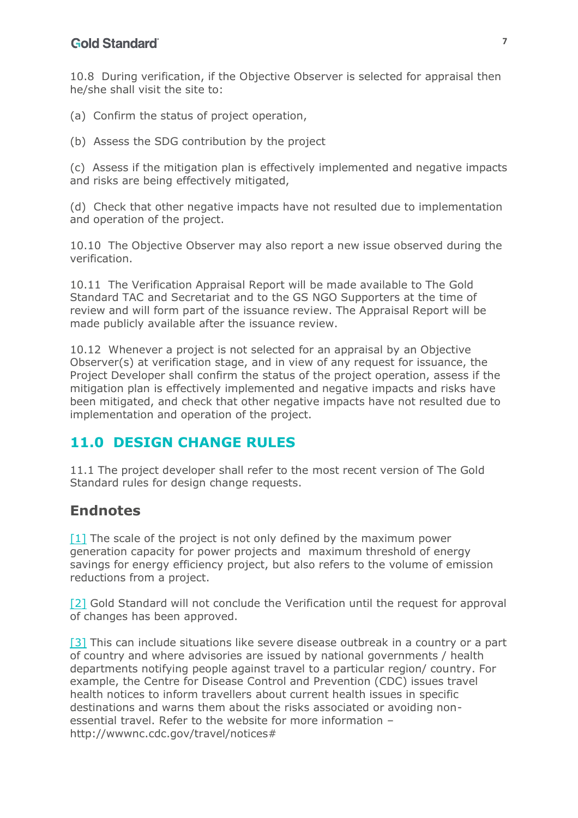#### **Gold Standard**

10.8 During verification, if the Objective Observer is selected for appraisal then he/she shall visit the site to:

- (a) Confirm the status of project operation,
- (b) Assess the SDG contribution by the project

(c) Assess if the mitigation plan is effectively implemented and negative impacts and risks are being effectively mitigated,

(d) Check that other negative impacts have not resulted due to implementation and operation of the project.

10.10 The Objective Observer may also report a new issue observed during the verification.

10.11 The Verification Appraisal Report will be made available to The Gold Standard TAC and Secretariat and to the GS NGO Supporters at the time of review and will form part of the issuance review. The Appraisal Report will be made publicly available after the issuance review.

10.12 Whenever a project is not selected for an appraisal by an Objective Observer(s) at verification stage, and in view of any request for issuance, the Project Developer shall confirm the status of the project operation, assess if the mitigation plan is effectively implemented and negative impacts and risks have been mitigated, and check that other negative impacts have not resulted due to implementation and operation of the project.

#### <span id="page-6-0"></span>**11.0 DESIGN CHANGE RULES**

11.1 The project developer shall refer to the most recent version of The Gold Standard rules for design change requests.

#### **Endnotes**

[1] The scale of the project is not only defined by the maximum power generation capacity for power projects and maximum threshold of energy savings for energy efficiency project, but also refers to the volume of emission reductions from a project.

[2] Gold Standard will not conclude the Verification until the request for approval of changes has been approved.

[3] This can include situations like severe disease outbreak in a country or a part of country and where advisories are issued by national governments / health departments notifying people against travel to a particular region/ country. For example, the Centre for Disease Control and Prevention (CDC) issues travel health notices to inform travellers about current health issues in specific destinations and warns them about the risks associated or avoiding nonessential travel. Refer to the website for more information – http://wwwnc.cdc.gov/travel/notices#